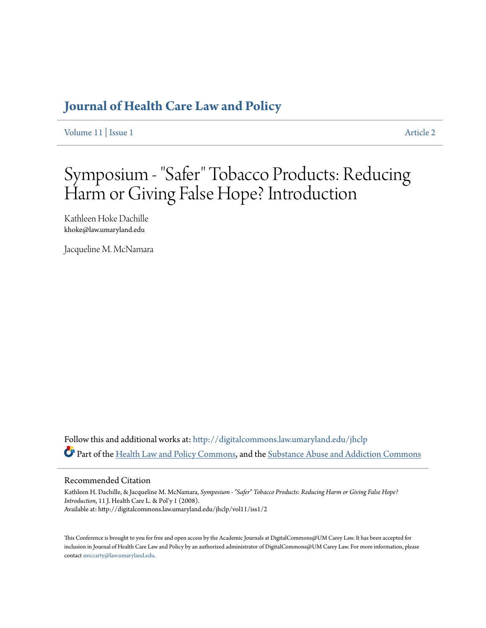### **[Journal of Health Care Law and Policy](http://digitalcommons.law.umaryland.edu/jhclp?utm_source=digitalcommons.law.umaryland.edu%2Fjhclp%2Fvol11%2Fiss1%2F2&utm_medium=PDF&utm_campaign=PDFCoverPages)**

[Volume 11](http://digitalcommons.law.umaryland.edu/jhclp/vol11?utm_source=digitalcommons.law.umaryland.edu%2Fjhclp%2Fvol11%2Fiss1%2F2&utm_medium=PDF&utm_campaign=PDFCoverPages) | [Issue 1](http://digitalcommons.law.umaryland.edu/jhclp/vol11/iss1?utm_source=digitalcommons.law.umaryland.edu%2Fjhclp%2Fvol11%2Fiss1%2F2&utm_medium=PDF&utm_campaign=PDFCoverPages) [Article 2](http://digitalcommons.law.umaryland.edu/jhclp/vol11/iss1/2?utm_source=digitalcommons.law.umaryland.edu%2Fjhclp%2Fvol11%2Fiss1%2F2&utm_medium=PDF&utm_campaign=PDFCoverPages)

# Symposium - "Safer" Tobacco Products: Reducing Harm or Giving False Hope? Introduction

Kathleen Hoke Dachille khoke@law.umaryland.edu

Jacqueline M. McNamara

Follow this and additional works at: [http://digitalcommons.law.umaryland.edu/jhclp](http://digitalcommons.law.umaryland.edu/jhclp?utm_source=digitalcommons.law.umaryland.edu%2Fjhclp%2Fvol11%2Fiss1%2F2&utm_medium=PDF&utm_campaign=PDFCoverPages) Part of the [Health Law and Policy Commons](http://network.bepress.com/hgg/discipline/901?utm_source=digitalcommons.law.umaryland.edu%2Fjhclp%2Fvol11%2Fiss1%2F2&utm_medium=PDF&utm_campaign=PDFCoverPages), and the [Substance Abuse and Addiction Commons](http://network.bepress.com/hgg/discipline/710?utm_source=digitalcommons.law.umaryland.edu%2Fjhclp%2Fvol11%2Fiss1%2F2&utm_medium=PDF&utm_campaign=PDFCoverPages)

### Recommended Citation

Kathleen H. Dachille, & Jacqueline M. McNamara, *Symposium - "Safer" Tobacco Products: Reducing Harm or Giving False Hope? Introduction*, 11 J. Health Care L. & Pol'y 1 (2008). Available at: http://digitalcommons.law.umaryland.edu/jhclp/vol11/iss1/2

This Conference is brought to you for free and open access by the Academic Journals at DigitalCommons@UM Carey Law. It has been accepted for inclusion in Journal of Health Care Law and Policy by an authorized administrator of DigitalCommons@UM Carey Law. For more information, please contact [smccarty@law.umaryland.edu.](mailto:smccarty@law.umaryland.edu)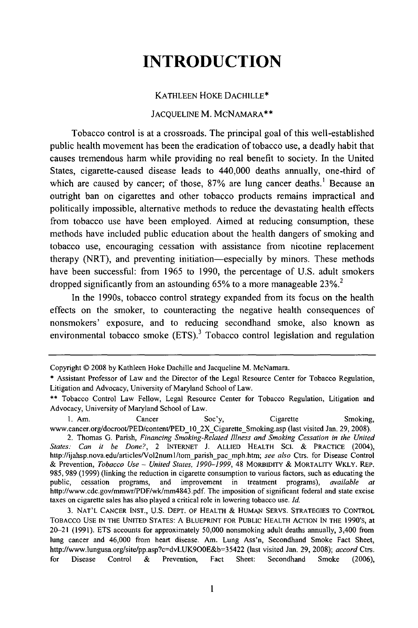## **INTRODUCTION**

### KATHLEEN HOKE DACHILLE\*

### JACQUELINE M. MCNAMARA\*\*

Tobacco control is at a crossroads. The principal goal of this well-established public health movement has been the eradication of tobacco use, a deadly habit that causes tremendous harm while providing no real benefit to society. In the United States, cigarette-caused disease leads to 440,000 deaths annually, one-third of which are caused by cancer; of those, 87% are lung cancer deaths.<sup>1</sup> Because an outright ban on cigarettes and other tobacco products remains impractical and politically impossible, alternative methods to reduce the devastating health effects from tobacco use have been employed. Aimed at reducing consumption, these methods have included public education about the health dangers of smoking and tobacco use, encouraging cessation with assistance from nicotine replacement therapy (NRT), and preventing initiation-especially by minors. These methods have been successful: from 1965 to 1990, the percentage of U.S. adult smokers dropped significantly from an astounding  $65\%$  to a more manageable  $23\%$ <sup>2</sup>

In the 1990s, tobacco control strategy expanded from its focus on the health effects on the smoker, to counteracting the negative health consequences of nonsmokers' exposure, and to reducing secondhand smoke, also known as environmental tobacco smoke  $(ETS)^3$  Tobacco control legislation and regulation

**1.** Am. Cancer Soc'y, Cigarette Smoking, www.cancer.org/docroot/PED/content/PED 10 2X Cigarette Smoking.asp (last visited Jan. 29, 2008). 2. Thomas G. Parish, *Financing Smoking-Related Illness and Smoking Cessation in the United*

Copyright © 2008 by Kathleen Hoke Dachille and Jacqueline M. McNamara.

<sup>\*</sup> Assistant Professor of Law and the Director of the Legal Resource Center for Tobacco Regulation, Litigation and Advocacy, University of Maryland School of Law.

<sup>\*\*</sup> Tobacco Control Law Fellow, Legal Resource Center for Tobacco Regulation, Litigation and Advocacy, University of Maryland School of Law.

*States: Can it be Done?,* 2 **INTERNET** J. **ALLIED** HEALTH **SCI.** & PRACTICE (2004), http://ijahsp.nova.edu/articles/Vol2num1/tom parish\_pac mph.htm; see also Ctrs. for Disease Control & Prevention, *Tobacco Use - United States, 1990-1999,* 48 MORBIDITY & MORTALITY WKLY. REP. 985, 989 (1999) (linking the reduction in cigarette consumption to various factors, such as educating the public, cessation programs, and improvement in treatment programs), *available at* http://www.cdc.gov/mmwr/PDF/wk/mm4843.pdf. The imposition of significant federal and state excise taxes on cigarette sales has also played a critical role in lowering tobacco use. *Id.*

<sup>3.</sup> NAT'L CANCER **INST.,** U.S. DEPT. OF HEALTH & HUMAN SERVS. **STRATEGIES** TO CONTROL **TOBACCO USE IN** THE UNITED STATES: A BLUEPRINT FOR PUBLIC HEALTH **ACTION IN** THE 1990's, at 20-21 (1991). ETS accounts for approximately 50,000 nonsmoking adult deaths annually, 3,400 from lung cancer and 46,000 from heart disease. Am. Lung Ass'n, Secondhand Smoke Fact Sheet, http://www.lungusa.org/site/pp.asp?c=dvLUK9O0E&b=35422 (last visited Jan. 29, 2008); *accord* Ctrs. for Disease Control & Prevention, Fact Sheet: Secondhand Smoke (2006),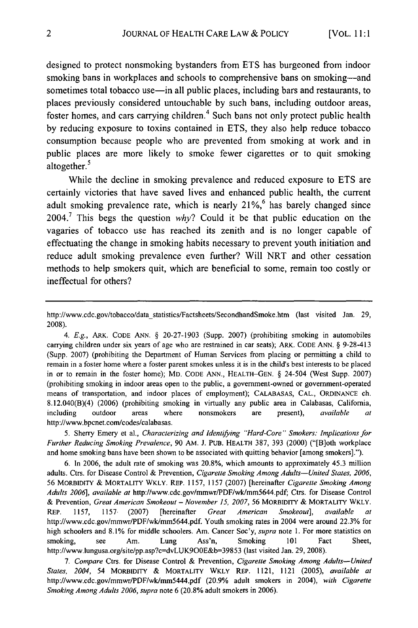designed to protect nonsmoking bystanders from ETS has burgeoned from indoor smoking bans in workplaces and schools to comprehensive bans on smoking—and sometimes total tobacco use—in all public places, including bars and restaurants, to places previously considered untouchable by such bans, including outdoor areas, foster homes, and cars carrying children.<sup>4</sup> Such bans not only protect public health by reducing exposure to toxins contained in ETS, they also help reduce tobacco consumption because people who are prevented from smoking at work and in public places are more likely to smoke fewer cigarettes or to quit smoking public play<br>altogether.<sup>5</sup>

While the decline in smoking prevalence and reduced exposure to ETS are certainly victories that have saved lives and enhanced public health, the current adult smoking prevalence rate, which is nearly  $21\%$ <sup>6</sup> has barely changed since 2004.<sup>7</sup> This begs the question  $why$ ? Could it be that public education on the vagaries of tobacco use has reached its zenith and is no longer capable of effectuating the change in smoking habits necessary to prevent youth initiation and reduce adult smoking prevalence even further? Will NRT and other cessation methods to help smokers quit, which are beneficial to some, remain too costly or ineffectual for others?

4. E.g., ARK. CODE ANN. § 20-27-1903 (Supp. 2007) (prohibiting smoking in automobiles carrying children under six years of age who are restrained in car seats); ARK. CODE ANN. § 9-28-413 (Supp. 2007) (prohibiting the Department of Human Services from placing or permitting a child to remain in a foster home where a foster parent smokes unless it is in the child's best interests to be placed in or to remain in the foster home); MD. CODE ANN., HEALTH-GEN. § 24-504 (West Supp. 2007) (prohibiting smoking in indoor areas open to the public, a government-owned or government-operated means of transportation, and indoor places of employment); CALABASAS, CAL., ORDINANCE ch. 8.12.040(B)(4) (2006) (prohibiting smoking in virtually any public area in Calabasas, California, including outdoor areas where nonsmokers are present), *available at* http://www.bpcnet.com/codes/calabasas.

5. Sherry Emery et al., *Characterizing and Identifying "Hard-Core* **"** *Smokers: Implications for Further Reducing Smoking Prevalence,* 90 AM. J. PUB. HEALTH 387, 393 (2000) ("[B]oth workplace and home smoking bans have been shown to be associated with quitting behavior [among smokers].").

6. In 2006, the adult rate of smoking was 20.8%, which amounts to approximately 45.3 million adults. Ctrs. for Disease Control & Prevention, *Cigarette Smoking Among Adults-United States, 2006,* 56 MORBIDITY & MORTALITY WKLY. REP. 1157, 1157 (2007) [hereinafter *Cigarette Smoking Among Adults 2006], available at* http://www.cdc.gov/mmwr/PDF/wk/mm5644.pdf; Ctrs. for Disease Control & Prevention, *Great American Smokeout* - *November* **15,** *2007,* 56 MORBIDITY & MORTALITY WKLY. REP. 1157, 1157. (2007) [hereinafter *Great American Smokeout], available at* http://www.cdc.gov/mmwr/PDF/wk/mm5644.pdf. Youth smoking rates in 2004 were around 22.3% for high schoolers and 8.1% for middle schoolers. Am. Cancer Soc'y, *supra* note 1. For more statistics on smoking, see Am. Lung Ass'n, Smoking 101 Fact Sheet, http://www.lungusa.org/site/pp.asp?c=dvLUK900E&b=39853 (last visited Jan. 29, 2008).

*7. Compare* Ctrs. for Disease Control & Prevention, *Cigarette Smoking Among Adults-United States, 2004,* 54 MORBIDITY & MORTALITY WKLY REP. 1121, 1121 (2005), *available at* http://www.cdc.gov/mmwr/PDF/wk/mm5444.pdf (20.9% adult smokers in 2004), *with Cigarette Smoking Among Adults 2006, supra* note 6 (20.8% adult smokers in 2006).

http://www.cdc.gov/tobacco/data-statistics/Factsheets/SecondhandSmoke.htm (last visited Jan. 29, 2008).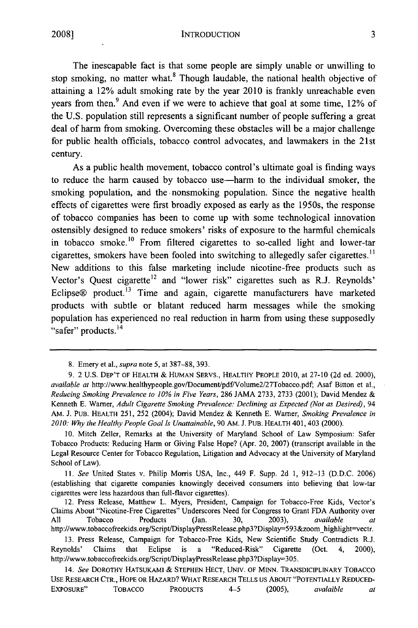**INTRODUCTION** 

The inescapable fact is that some people are simply unable or unwilling to stop smoking, no matter what. $8$  Though laudable, the national health objective of attaining a 12% adult smoking rate by the year 2010 is frankly unreachable even years from then.<sup>9</sup> And even if we were to achieve that goal at some time,  $12\%$  of the U.S. population still represents a significant number of people suffering a great deal of harm from smoking. Overcoming these obstacles will be a major challenge for public health officials, tobacco control advocates, and lawmakers in the 21st century.

As a public health movement, tobacco control's ultimate goal is finding ways to reduce the harm caused by tobacco use—harm to the individual smoker, the smoking population, and the nonsmoking population. Since the negative health effects of cigarettes were first broadly exposed as early as the 1950s, the response of tobacco companies has been to come up with some technological innovation ostensibly designed to reduce smokers' risks of exposure to the harmful chemicals in tobacco smoke.<sup>10</sup> From filtered cigarettes to so-called light and lower-tar cigarettes, smokers have been fooled into switching to allegedly safer cigarettes.<sup>11</sup> New additions to this false marketing include nicotine-free products such as Vector's Quest cigarette<sup>12</sup> and "lower risk" cigarettes such as R.J. Reynolds' Eclipse® product.<sup>13</sup> Time and again, cigarette manufacturers have marketed products with subtle or blatant reduced harm messages while the smoking population has experienced no real reduction in harm from using these supposedly "safer" products.<sup>14</sup>

10. Mitch Zeller, Remarks at the University of Maryland School of Law Symposium: Safer Tobacco Products: Reducing Harm or Giving False Hope? (Apr. 20, 2007) (transcript available in the Legal Resource Center for Tobacco Regulation, Litigation and Advocacy at the University of Maryland School of Law).

*11. See* United States v. Philip Morris USA, Inc., 449 F. Supp. 2d 1, 912-13 **(D.D.C.** 2006) (establishing that cigarette companies knowingly deceived consumers into believing that low-tar cigarettes were less hazardous than full-flavor cigarettes).

<sup>8.</sup> Emery et al., *supra* note 5, at 387-88, 393.

<sup>9. 2</sup> U.S. **DEP'T** OF HEALTH & **HUMAN** SERVS., HEALTHY PEOPLE 2010, at 27-10 (2d ed. 2000), *available at* http://www.healthypeople.gov/Document/pdf/Volume2/27Tobacco.pdf, Asaf Bitton et al., *Reducing Smoking Prevalence to* **10%** *in Five Years,* 286 JAMA 2733, 2733 (2001); David Mendez & Kenneth E. Warner, *Adult Cigarette Smoking Prevalence: Declining as Expected (Not as Desired), 94* AM. J. **PUB.** HEALTH 251, 252 (2004); David Mendez & Kenneth E. Warner, *Smoking Prevalence in 2010: Why the Healthy People Goal Is Unattainable,* 90 AM. J. PUB. HEALTH 401,403 (2000).

<sup>12.</sup> Press Release, Matthew L. Myers, President, Campaign for Tobacco-Free Kids, Vector's Claims About "Nicotine-Free Cigarettes" Underscores Need for Congress to Grant FDA Authority over All Tobacco Products (Jan. 30, 2003), *available at* http://www.tobaccofreekids.org/Script/DisplayPressRelease.php3?Display=593&zoom-highlight-vectr.

<sup>13.</sup> Press Release, Campaign for Tobacco-Free Kids, New Scientific Study Contradicts R.J. Reynolds' Claims that Eclipse is a "Reduced-Risk" Cigarette (Oct. 4, 2000), http://www.tobaccofreekids.org/Script/DisplayPressRelease.php3?Dispay=305.

<sup>14.</sup> *See* DOROTHY HATSUKAMI & **STEPHEN HECT, UNIV.** OF MINN. TRANSDICIPLINARY **TOBACCO** USE RESEARCH CTR., HOPE OR HAzARD? WHAT RESEARCH TELLS **US** ABOUT "POTENTIALLY **REDUCED-**ExPoSURE" **TOBACCO PRODUCTS** 4-5 (2005), *avalaible at*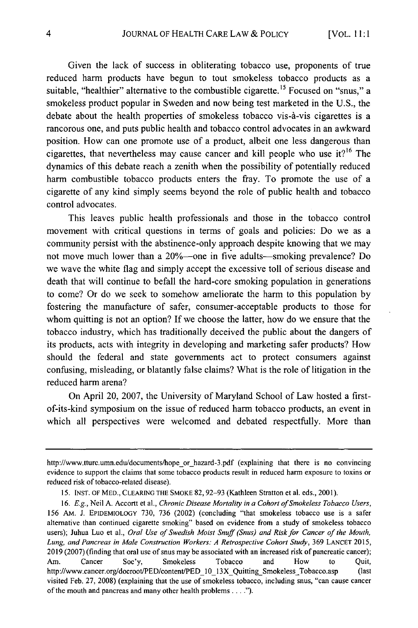Given the lack of success in obliterating tobacco use, proponents of true reduced harm products have begun to tout smokeless tobacco products as a suitable, "healthier" alternative to the combustible cigarette. **1 <sup>5</sup>**Focused on "snus," a smokeless product popular in Sweden and now being test marketed in the U.S., the debate about the health properties of smokeless tobacco vis-à-vis cigarettes is a rancorous one, and puts public health and tobacco control advocates in an awkward position. How can one promote use of a product, albeit one less dangerous than cigarettes, that nevertheless may cause cancer and kill people who use it?<sup>16</sup> The dynamics of this debate reach a zenith when the possibility of potentially reduced harm combustible tobacco products enters the fray. To promote the use of a cigarette of any kind simply seems beyond the role of public health and tobacco control advocates.

This leaves public health professionals and those in the tobacco control movement with critical questions in terms of goals and policies: Do we as a community persist with the abstinence-only approach despite knowing that we may not move much lower than a 20%—one in five adults—smoking prevalence? Do we wave the white flag and simply accept the excessive toll of serious disease and death that will continue to befall the hard-core smoking population in generations to come? Or do we seek to somehow ameliorate the harm to this population by fostering the manufacture of safer, consumer-acceptable products to those for whom quitting is not an option? If we choose the latter, how do we ensure that the tobacco industry, which has traditionally deceived the public about the dangers of its products, acts with integrity in developing and marketing safer products? How should the federal and state governments act to protect consumers against confusing, misleading, or blatantly false claims? What is the role of litigation in the reduced harm arena?

On April 20, 2007, the University of Maryland School of Law hosted a firstof-its-kind symposium on the issue of reduced harm tobacco products, an event in which all perspectives were welcomed and debated respectfully. More than

http://www.tturc.umn.edu/documents/hope or hazard-3.pdf (explaining that there is no convincing evidence to support the claims that some tobacco products result in reduced harm exposure to toxins or reduced risk of tobacco-related disease).

<sup>15.</sup> INST. OF MED., CLEARING THE SMOKE 82, 92-93 (Kathleen Stratton et al. eds., 2001).

<sup>16.</sup> *E.g.,* Neil A. Accortt et al., *Chronic Disease Mortality in a Cohort of Smokeless Tobacco Users, 156* AM. J. EPIDEMIOLOGY 730, 736 (2002) (concluding "that smokeless tobacco use is a safer alternative than continued cigarette smoking" based on evidence from a study of smokeless tobacco users); Juhua Luo et al., *Oral Use of Swedish Moist Snuff (Snus) and Risk for Cancer of the Mouth, Lung, and Pancreas in Male Construction Workers: A Retrospective Cohort Study,* 369 LANCET 2015, 2019 (2007) (finding that oral use of snus may be associated with an increased risk of pancreatic cancer); Am. Cancer Soc'y, Smokeless Tobacco and How to Quit, http://www.cancer.org/docroot/PED/content/PED 10 13X Quitting\_Smokeless\_Tobacco.asp (last visited Feb. 27, 2008) (explaining that the use of smokeless tobacco, including snus, "can cause cancer of the mouth and pancreas and many other health problems **.... ").**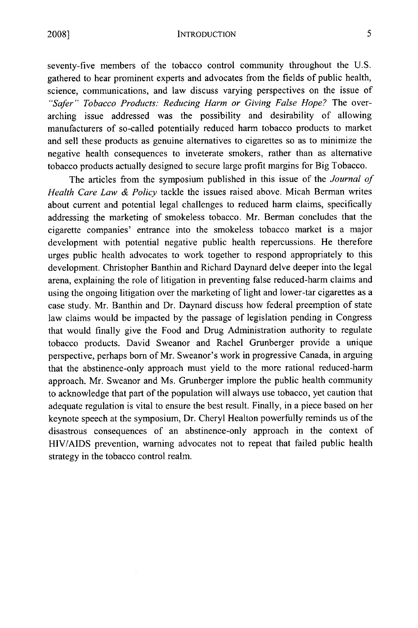INTRODUCTION

seventy-five members of the tobacco control community throughout the U.S. gathered to hear prominent experts and advocates from the fields of public health, science, communications, and law discuss varying perspectives on the issue of *"Safer" Tobacco Products: Reducing Harm or Giving False Hope?* The overarching issue addressed was the possibility and desirability of allowing manufacturers of so-called potentially reduced harm tobacco products to market and sell these products as genuine alternatives to cigarettes so as to minimize the negative health consequences to inveterate smokers, rather than as alternative tobacco products actually designed to secure large profit margins for Big Tobacco.

The articles from the symposium published in this issue of the *Journal of Health Care Law & Policy* tackle the issues raised above. Micah Berman writes about current and potential legal challenges to reduced harm claims, specifically addressing the marketing of smokeless tobacco. Mr. Berman concludes that the cigarette companies' entrance into the smokeless tobacco market is a major development with potential negative public health repercussions. He therefore urges public health advocates to work together to respond appropriately to this development. Christopher Banthin and Richard Daynard delve deeper into the legal arena, explaining the role of litigation in preventing false reduced-harm claims and using the ongoing litigation over the marketing of light and lower-tar cigarettes as a case study. Mr. Banthin and Dr. Daynard discuss how federal preemption of state law claims would be impacted by the passage of legislation pending in Congress that would finally give the Food and Drug Administration authority to regulate tobacco products. David Sweanor and Rachel Grunberger provide a unique perspective, perhaps born of Mr. Sweanor's work in progressive Canada, in arguing that the abstinence-only approach must yield to the more rational reduced-harm approach. Mr. Sweanor and Ms. Grunberger implore the public health community to acknowledge that part of the population will always use tobacco, yet caution that adequate regulation is vital to ensure the best result. Finally, in a piece based on her keynote speech at the symposium, Dr. Cheryl Healton powerfully reminds us of the disastrous consequences of an abstinence-only approach in the context of HIV/AIDS prevention, warning advocates not to repeat that failed public health strategy in the tobacco control realm.